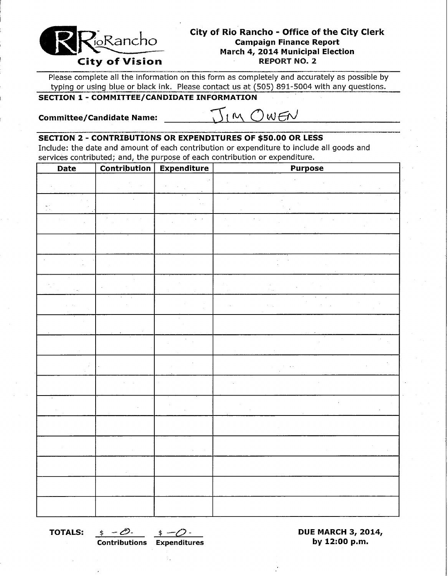

# **City of Rio Rancho - Office of the City Clerk Campaign Finance Report March 4, 2014 Municipal Election**

Please complete all the information on this form as completely and accurately as possible by typing or using blue or black ink. Please contact us at (505) 891-5004 with any questions.

## **SECTION 1 - COMMITTEE/CANDIDATE INFORMATION**

**Committee/Candidate Name:** 

IM OWEN

#### **SECTION 2 - CONTRIBUTIONS OR EXPENDITURES OF \$50.00 OR LESS**

Include: the date and amount of each contribution or expenditure to include all goods and services contributed; and, the purpose of each contribution or expenditure.

| Date | <b>Contribution</b> | Expenditure | <b>Purpose</b> |
|------|---------------------|-------------|----------------|
|      |                     |             |                |
|      |                     |             |                |
|      |                     |             |                |
|      |                     |             |                |
|      |                     |             |                |
|      |                     |             |                |
|      |                     |             |                |
|      |                     |             |                |
|      |                     |             |                |
|      |                     |             |                |
|      |                     |             |                |
|      |                     |             |                |
|      |                     |             |                |
|      |                     |             |                |
|      |                     |             |                |
|      |                     |             |                |
|      |                     |             |                |

**Contributions Expenditures by 12:00 p.m.** 

**TOTALS:**  $\oint$  -  $\mathcal{D}$ -  $\oint$  -  $\mathcal{D}$ - **DUE MARCH 3, 2014,**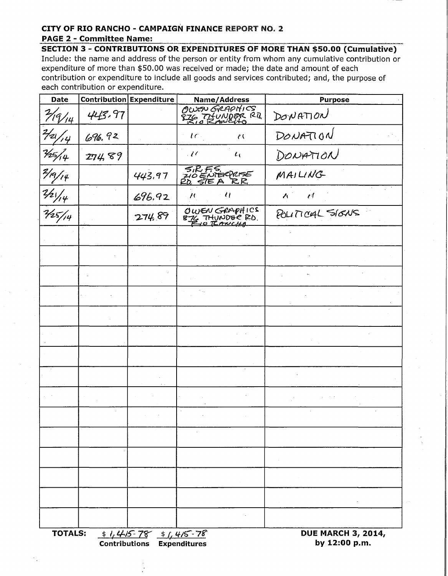### **CITY OF RIO RANCHO - CAMPAIGN FINANCE** REPORT NO.2 **PAGE 2 - Committee Name:**

**SECTION 3 - CONTRIBUTIONS OR EXPENDITURES OF MORE THAN \$50.00 (Cumulative)**  Include: the name and address of the person or entity from whom any cumulative contribution or expenditure of more than \$50.00 was received or made; the date and amount of each contribution or expenditure to include all goods and services contributed; and, the purpose of each contribution or expenditure.

| <b>Date</b>          |        | Contribution Expenditure                                   | Name/Address                             | <b>Purpose</b>                             |
|----------------------|--------|------------------------------------------------------------|------------------------------------------|--------------------------------------------|
| 7/9/14               | 443.97 |                                                            | OWEN GRAPHICS<br>EZG TITUNDER RD         | DONATION                                   |
| $\frac{2}{2}/2$      | 696,92 |                                                            | tc<br>$\ell$                             | DONATION                                   |
|                      | 274,89 |                                                            | $\mathcal{U}$<br>$\iota_{\mathfrak{t}}$  | DONATION                                   |
| <u>45/4</u><br>49/14 |        | 443.97                                                     | SIRFS<br>210 ENTERRISE<br>20, STE A R.R. | MAILING                                    |
| $\frac{2/21}{1/4}$   |        | 696.92                                                     | $\mathcal{U}$<br>$\prime$                | $\ell$<br>$\lambda$                        |
|                      |        | 274.89                                                     | OWEN GRAPHICS<br>874 THUNDER RD.         | POLITICAL SIGNS                            |
|                      |        |                                                            |                                          |                                            |
|                      |        |                                                            |                                          |                                            |
|                      |        |                                                            |                                          |                                            |
|                      |        |                                                            |                                          |                                            |
|                      |        |                                                            |                                          |                                            |
|                      |        |                                                            |                                          |                                            |
|                      |        |                                                            |                                          |                                            |
|                      |        |                                                            |                                          |                                            |
|                      |        |                                                            |                                          |                                            |
|                      |        |                                                            |                                          |                                            |
|                      |        |                                                            |                                          |                                            |
|                      |        |                                                            |                                          |                                            |
|                      |        |                                                            |                                          |                                            |
|                      |        |                                                            |                                          |                                            |
|                      |        |                                                            |                                          |                                            |
| <b>TOTALS:</b>       |        | $1/415-78$ $1/415-78$<br><b>Contributions Expenditures</b> |                                          | <b>DUE MARCH 3, 2014,</b><br>by 12:00 p.m. |